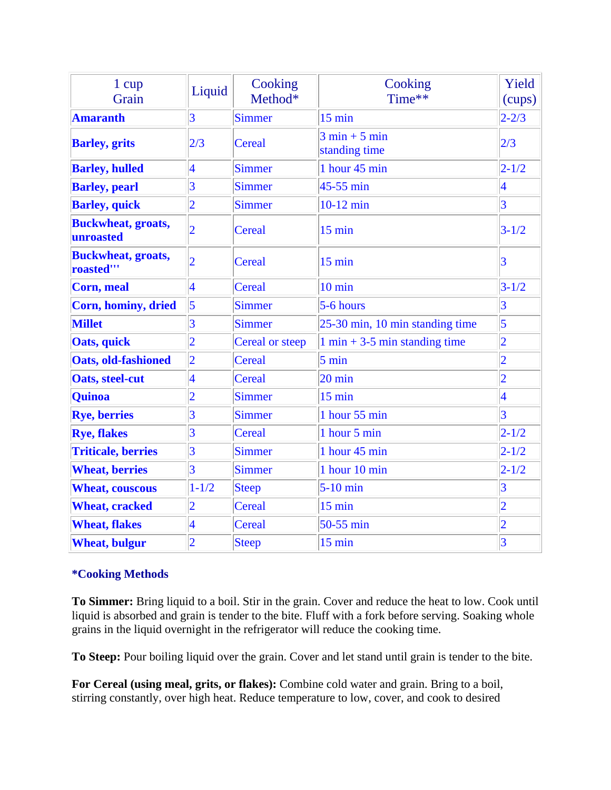| 1 cup<br>Grain                         | Liquid                  | Cooking<br>Method* | Cooking<br>Time**                                | Yield<br>(cups) |
|----------------------------------------|-------------------------|--------------------|--------------------------------------------------|-----------------|
| <b>Amaranth</b>                        | $\overline{3}$          | <b>Simmer</b>      | $15 \text{ min}$                                 | $2 - 2/3$       |
| <b>Barley</b> , grits                  | 2/3                     | Cereal             | $3 \text{ min} + 5 \text{ min}$<br>standing time | 2/3             |
| <b>Barley, hulled</b>                  | $\overline{\mathbf{4}}$ | <b>Simmer</b>      | 1 hour 45 min                                    | $2 - 1/2$       |
| <b>Barley</b> , pearl                  | $\overline{3}$          | <b>Simmer</b>      | 45-55 min                                        | $\vert 4$       |
| <b>Barley</b> , quick                  | $\overline{2}$          | <b>Simmer</b>      | $10-12$ min                                      | $\overline{3}$  |
| <b>Buckwheat, groats,</b><br>unroasted | $\overline{2}$          | Cereal             | $15$ min                                         | $3 - 1/2$       |
| <b>Buckwheat, groats,</b><br>roasted"' | $\overline{2}$          | Cereal             | $15 \text{ min}$                                 | 3               |
| <b>Corn, meal</b>                      | $\overline{\mathbf{4}}$ | Cereal             | $10 \text{ min}$                                 | $3 - 1/2$       |
| Corn, hominy, dried                    | $\vert$ 5               | <b>Simmer</b>      | 5-6 hours                                        | $\overline{3}$  |
| <b>Millet</b>                          | 3                       | <b>Simmer</b>      | 25-30 min, 10 min standing time                  | $\overline{5}$  |
| Oats, quick                            | $\overline{2}$          | Cereal or steep    | $1 \text{ min} + 3.5 \text{ min}$ standing time  | $\overline{2}$  |
| <b>Oats, old-fashioned</b>             | $\overline{2}$          | Cereal             | $5 \text{ min}$                                  | $\overline{2}$  |
| <b>Oats, steel-cut</b>                 | $\overline{\mathbf{4}}$ | Cereal             | $20 \text{ min}$                                 | $\overline{2}$  |
| <b>Quinoa</b>                          | $\overline{2}$          | <b>Simmer</b>      | $15 \text{ min}$                                 | $\vert 4$       |
| <b>Rye, berries</b>                    | $\overline{3}$          | <b>Simmer</b>      | 1 hour 55 min                                    | $\overline{3}$  |
| <b>Rye, flakes</b>                     | $\overline{3}$          | Cereal             | 1 hour 5 min                                     | $2 - 1/2$       |
| <b>Triticale, berries</b>              | $\overline{3}$          | <b>Simmer</b>      | 1 hour 45 min                                    | $2 - 1/2$       |
| <b>Wheat, berries</b>                  | $\overline{3}$          | <b>Simmer</b>      | 1 hour 10 min                                    | $2 - 1/2$       |
| <b>Wheat, couscous</b>                 | $1 - 1/2$               | <b>Steep</b>       | $5-10$ min                                       | $\overline{3}$  |
| <b>Wheat, cracked</b>                  | $\overline{2}$          | Cereal             | $15$ min                                         | $\overline{2}$  |
| <b>Wheat, flakes</b>                   | $\overline{\mathbf{4}}$ | Cereal             | 50-55 min                                        | $\overline{2}$  |
| <b>Wheat, bulgur</b>                   | $\overline{2}$          | <b>Steep</b>       | $15$ min                                         | $\overline{3}$  |

## **\*Cooking Methods**

**To Simmer:** Bring liquid to a boil. Stir in the grain. Cover and reduce the heat to low. Cook until liquid is absorbed and grain is tender to the bite. Fluff with a fork before serving. Soaking whole grains in the liquid overnight in the refrigerator will reduce the cooking time.

**To Steep:** Pour boiling liquid over the grain. Cover and let stand until grain is tender to the bite.

**For Cereal (using meal, grits, or flakes):** Combine cold water and grain. Bring to a boil, stirring constantly, over high heat. Reduce temperature to low, cover, and cook to desired